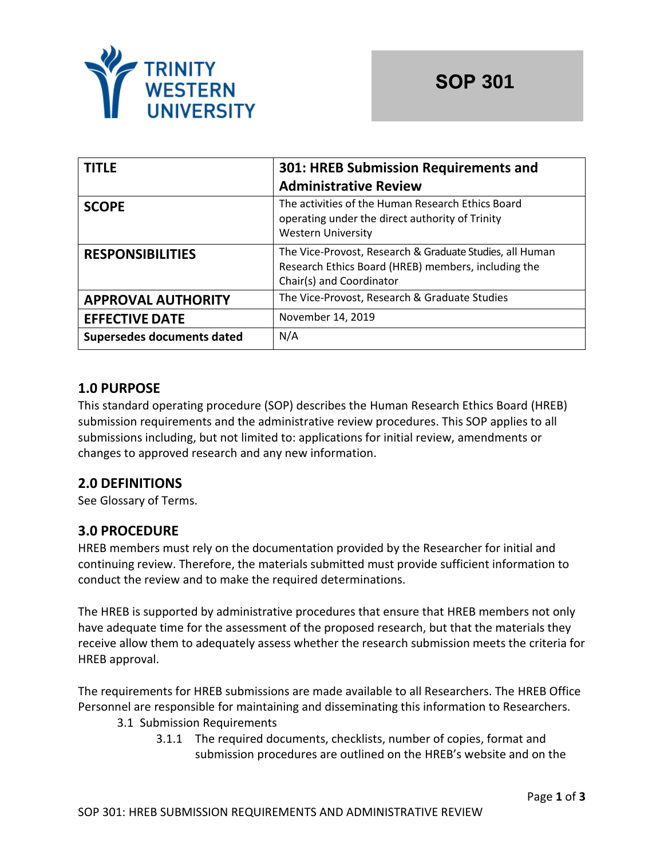

| <b>TITLE</b>                      | 301: HREB Submission Requirements and                                                                                                       |  |
|-----------------------------------|---------------------------------------------------------------------------------------------------------------------------------------------|--|
|                                   | <b>Administrative Review</b>                                                                                                                |  |
| <b>SCOPE</b>                      | The activities of the Human Research Ethics Board<br>operating under the direct authority of Trinity<br><b>Western University</b>           |  |
| <b>RESPONSIBILITIES</b>           | The Vice-Provost, Research & Graduate Studies, all Human<br>Research Ethics Board (HREB) members, including the<br>Chair(s) and Coordinator |  |
| <b>APPROVAL AUTHORITY</b>         | The Vice-Provost, Research & Graduate Studies                                                                                               |  |
| <b>EFFECTIVE DATE</b>             | November 14, 2019                                                                                                                           |  |
| <b>Supersedes documents dated</b> | N/A                                                                                                                                         |  |

## **1.0 PURPOSE**

This standard operating procedure (SOP) describes the Human Research Ethics Board (HREB) submission requirements and the administrative review procedures. This SOP applies to all submissions including, but not limited to: applications for initial review, amendments or changes to approved research and any new information.

# **2.0 DEFINITIONS**

See Glossary of Terms.

### **3.0 PROCEDURE**

HREB members must rely on the documentation provided by the Researcher for initial and continuing review. Therefore, the materials submitted must provide sufficient information to conduct the review and to make the required determinations.

The HREB is supported by administrative procedures that ensure that HREB members not only have adequate time for the assessment of the proposed research, but that the materials they receive allow them to adequately assess whether the research submission meets the criteria for HREB approval.

The requirements for HREB submissions are made available to all Researchers. The HREB Office Personnel are responsible for maintaining and disseminating this information to Researchers.

- 3.1 Submission Requirements
	- 3.1.1 The required documents, checklists, number of copies, format and submission procedures are outlined on the HREB's website and on the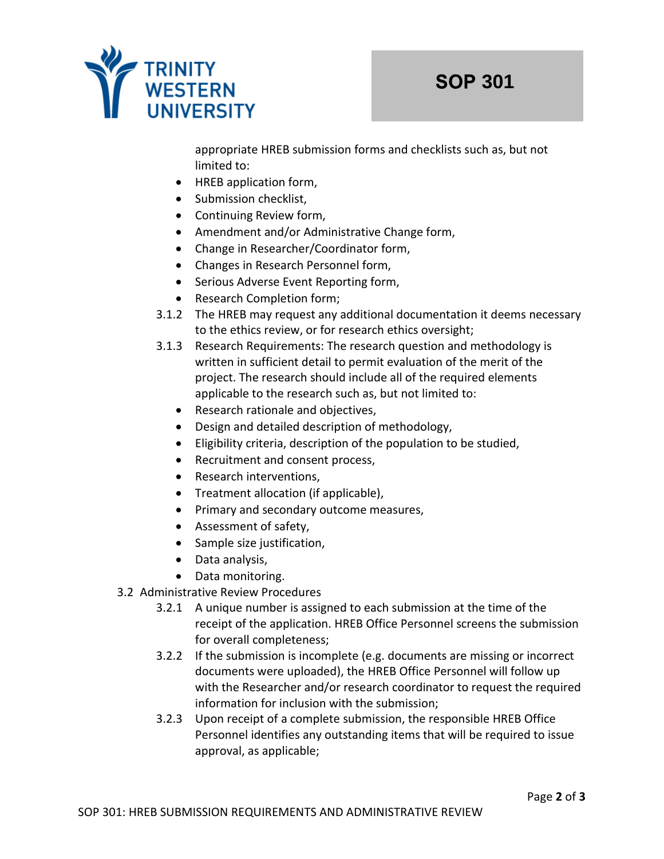

appropriate HREB submission forms and checklists such as, but not limited to:

- HREB application form,
- Submission checklist,
- Continuing Review form,
- Amendment and/or Administrative Change form,
- Change in Researcher/Coordinator form,
- Changes in Research Personnel form,
- Serious Adverse Event Reporting form,
- Research Completion form;
- 3.1.2 The HREB may request any additional documentation it deems necessary to the ethics review, or for research ethics oversight;
- 3.1.3 Research Requirements: The research question and methodology is written in sufficient detail to permit evaluation of the merit of the project. The research should include all of the required elements applicable to the research such as, but not limited to:
	- Research rationale and objectives,
	- Design and detailed description of methodology,
	- Eligibility criteria, description of the population to be studied,
	- Recruitment and consent process,
	- Research interventions,
	- Treatment allocation (if applicable),
	- Primary and secondary outcome measures,
	- Assessment of safety,
	- Sample size justification,
	- Data analysis,
	- Data monitoring.
- 3.2 Administrative Review Procedures
	- 3.2.1 A unique number is assigned to each submission at the time of the receipt of the application. HREB Office Personnel screens the submission for overall completeness;
	- 3.2.2 If the submission is incomplete (e.g. documents are missing or incorrect documents were uploaded), the HREB Office Personnel will follow up with the Researcher and/or research coordinator to request the required information for inclusion with the submission;
	- 3.2.3 Upon receipt of a complete submission, the responsible HREB Office Personnel identifies any outstanding items that will be required to issue approval, as applicable;